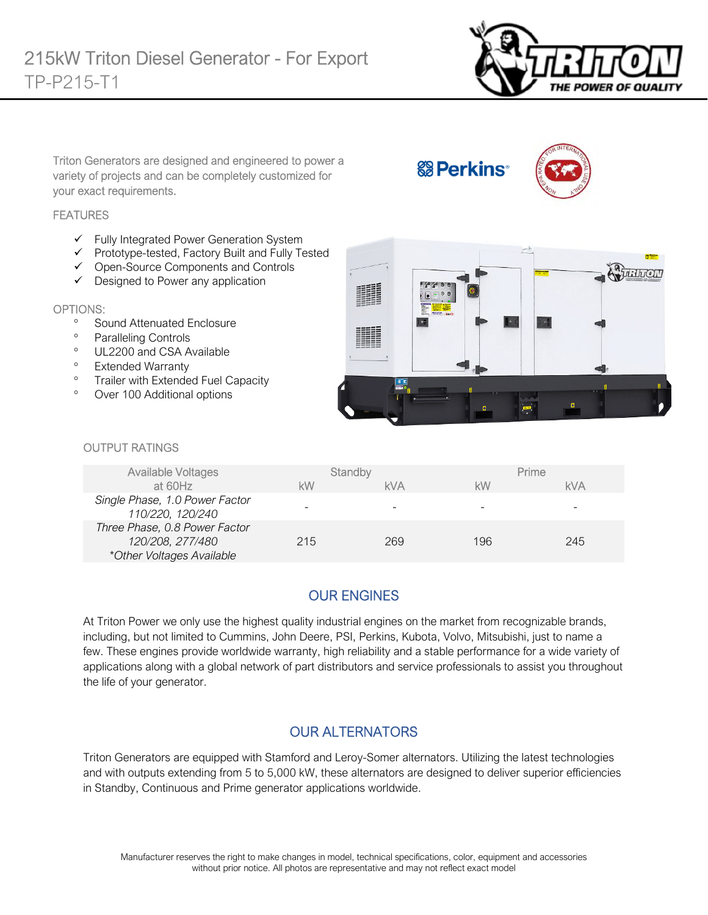

Triton Generators are designed and engineered to power a variety of projects and can be completely customized for your exact requirements.

**&B** Perkins<sup>®</sup>



#### **FEATURES**

- $\checkmark$  Fully Integrated Power Generation System
- $\checkmark$  Prototype-tested, Factory Built and Fully Tested
- Open-Source Components and Controls
- $\checkmark$  Designed to Power any application

#### OPTIONS:

- <sup>o</sup> Sound Attenuated Enclosure
- Paralleling Controls
- <sup>o</sup> UL2200 and CSA Available
- <sup>o</sup> Extended Warranty
- <sup>o</sup> Trailer with Extended Fuel Capacity
- Over 100 Additional options



#### OUTPUT RATINGS

| Available Voltages                                                             | Standby |     | Prime |     |
|--------------------------------------------------------------------------------|---------|-----|-------|-----|
| at 60Hz                                                                        | kW      | kVA | kW    | kVA |
| Single Phase, 1.0 Power Factor<br>110/220, 120/240                             |         |     |       |     |
| Three Phase, 0.8 Power Factor<br>120/208, 277/480<br>*Other Voltages Available | 215     | 269 | 196   | 245 |

## OUR ENGINES

At Triton Power we only use the highest quality industrial engines on the market from recognizable brands, including, but not limited to Cummins, John Deere, PSI, Perkins, Kubota, Volvo, Mitsubishi, just to name a few. These engines provide worldwide warranty, high reliability and a stable performance for a wide variety of applications along with a global network of part distributors and service professionals to assist you throughout the life of your generator.

## OUR ALTERNATORS

Triton Generators are equipped with Stamford and Leroy-Somer alternators. Utilizing the latest technologies and with outputs extending from 5 to 5,000 kW, these alternators are designed to deliver superior efficiencies in Standby, Continuous and Prime generator applications worldwide.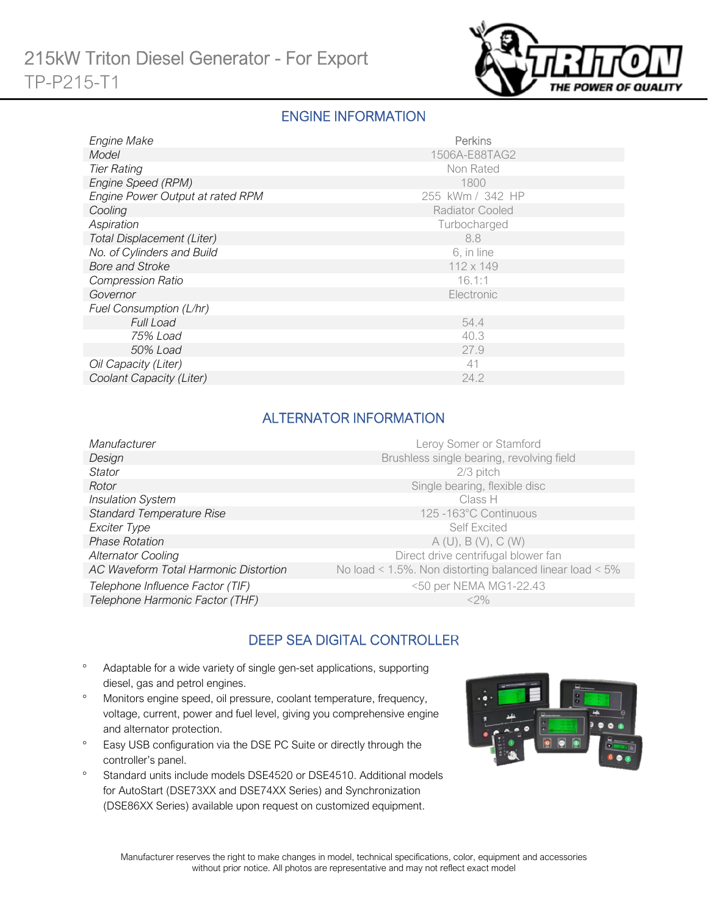

### ENGINE INFORMATION

| Engine Make                      | Perkins                |
|----------------------------------|------------------------|
| Model                            | 1506A-E88TAG2          |
| <b>Tier Rating</b>               | Non Rated              |
| Engine Speed (RPM)               | 1800                   |
| Engine Power Output at rated RPM | 255 kWm / 342 HP       |
| Cooling                          | <b>Radiator Cooled</b> |
| Aspiration                       | Turbocharged           |
| Total Displacement (Liter)       | 8.8                    |
| No. of Cylinders and Build       | 6, in line             |
| <b>Bore and Stroke</b>           | 112 x 149              |
| <b>Compression Ratio</b>         | 16.1:1                 |
| Governor                         | Electronic             |
| Fuel Consumption (L/hr)          |                        |
| <b>Full Load</b>                 | 54.4                   |
| 75% Load                         | 40.3                   |
| 50% Load                         | 27.9                   |
| Oil Capacity (Liter)             | 41                     |
| Coolant Capacity (Liter)         | 24.2                   |

## ALTERNATOR INFORMATION

| Manufacturer<br>Leroy Somer or Stamford                                                                  |  |
|----------------------------------------------------------------------------------------------------------|--|
| Brushless single bearing, revolving field<br>Design                                                      |  |
| 2/3 pitch<br><b>Stator</b>                                                                               |  |
| Single bearing, flexible disc<br>Rotor                                                                   |  |
| <b>Insulation System</b><br>Class H                                                                      |  |
| <b>Standard Temperature Rise</b><br>125-163°C Continuous                                                 |  |
| Exciter Type<br>Self Excited                                                                             |  |
| <b>Phase Rotation</b><br>A(U), B(V), C(W)                                                                |  |
| Direct drive centrifugal blower fan<br><b>Alternator Cooling</b>                                         |  |
| AC Waveform Total Harmonic Distortion<br>No load < $1.5\%$ . Non distorting balanced linear load < $5\%$ |  |
| <50 per NEMA MG1-22.43<br>Telephone Influence Factor (TIF)                                               |  |
| Telephone Harmonic Factor (THF)<br>$<$ 2%                                                                |  |

## DEEP SEA DIGITAL CONTROLLER

- Adaptable for a wide variety of single gen-set applications, supporting diesel, gas and petrol engines.
- Monitors engine speed, oil pressure, coolant temperature, frequency, voltage, current, power and fuel level, giving you comprehensive engine and alternator protection.
- <sup>o</sup> Easy USB configuration via the DSE PC Suite or directly through the controller's panel.
- <sup>o</sup> Standard units include models DSE4520 or DSE4510. Additional models for AutoStart (DSE73XX and DSE74XX Series) and Synchronization (DSE86XX Series) available upon request on customized equipment.

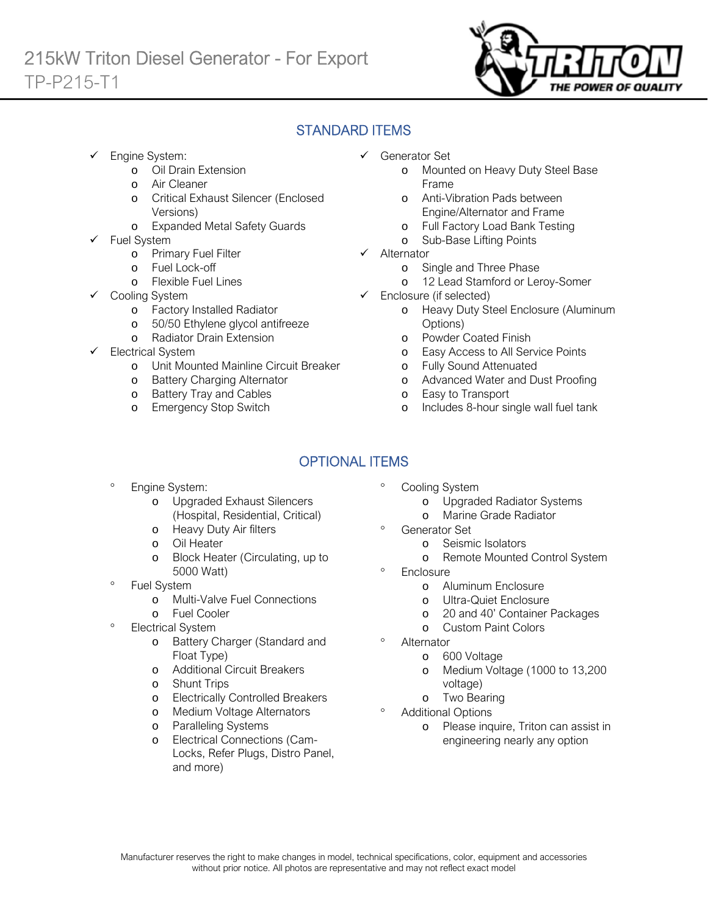

## STANDARD ITEMS

- Engine System:
	- o Oil Drain Extension
	- o Air Cleaner
	- o Critical Exhaust Silencer (Enclosed Versions)
	- o Expanded Metal Safety Guards
- Fuel System
	- o Primary Fuel Filter
	- o Fuel Lock-off
		- o Flexible Fuel Lines
	- Cooling System
		- o Factory Installed Radiator
		- o 50/50 Ethylene glycol antifreeze
		- o Radiator Drain Extension
- Electrical System
	- o Unit Mounted Mainline Circuit Breaker
	- o Battery Charging Alternator
	- o Battery Tray and Cables
	- o Emergency Stop Switch
- Generator Set
	- o Mounted on Heavy Duty Steel Base Frame
	- o Anti-Vibration Pads between Engine/Alternator and Frame
	- o Full Factory Load Bank Testing
	- o Sub-Base Lifting Points
- $\checkmark$  Alternator
	- o Single and Three Phase
	- o 12 Lead Stamford or Leroy-Somer
- $\checkmark$  Enclosure (if selected)
	- o Heavy Duty Steel Enclosure (Aluminum Options)
	- o Powder Coated Finish
	- o Easy Access to All Service Points
	- o Fully Sound Attenuated
	- o Advanced Water and Dust Proofing
	- o Easy to Transport
	- o Includes 8-hour single wall fuel tank

# OPTIONAL ITEMS

- Engine System:
	- o Upgraded Exhaust Silencers (Hospital, Residential, Critical)
	- o Heavy Duty Air filters
	- o Oil Heater
	- o Block Heater (Circulating, up to 5000 Watt)
- Fuel System
	- o Multi-Valve Fuel Connections
	- o Fuel Cooler
- Electrical System
	- o Battery Charger (Standard and Float Type)
	- o Additional Circuit Breakers
	- o Shunt Trips
	- o Electrically Controlled Breakers
	- o Medium Voltage Alternators
	- o Paralleling Systems
	- o Electrical Connections (Cam-Locks, Refer Plugs, Distro Panel, and more)
- Cooling System
	- o Upgraded Radiator Systems
	- o Marine Grade Radiator
	- Generator Set
		- o Seismic Isolators
		- o Remote Mounted Control System
- **Enclosure** 
	- o Aluminum Enclosure
	- o Ultra-Quiet Enclosure
	- o 20 and 40' Container Packages
	- o Custom Paint Colors
- Alternator
	- o 600 Voltage
	- o Medium Voltage (1000 to 13,200 voltage)
	- o Two Bearing
- Additional Options
	- o Please inquire, Triton can assist in engineering nearly any option